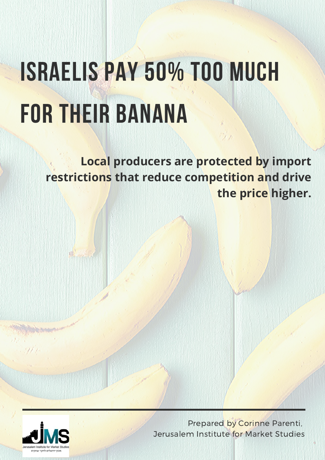# ISRAELIS PAY 50% TOO MUCH FOR THEIR BANANA

**Local producers are protected by import restrictions that reduce competition and drive the price higher.**



Prepared by Corinne Parenti, Jerusalem Institute for Market Studies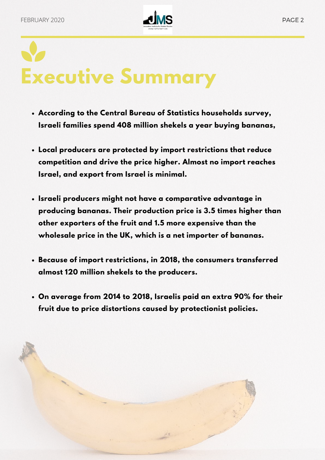

# **Executive Summary**

- **According to the Central Bureau of Statistics households survey, Israeli families spend 408 million shekels a year buying bananas,**
- **Local producers are protected by import restrictions that reduce competition and drive the price higher. Almost no import reaches Israel, and export from Israel is minimal.**
- **Israeli producers might not have a comparative advantage in producing bananas. Their production price is 3.5 times higher than other exporters of the fruit and 1.5 more expensive than the wholesale price in the UK, which is a net importer of bananas.**
- **Because of import restrictions, in 2018, the consumers transferred almost 120 million shekels to the producers.**
- **On average from 2014 to 2018, Israelis paid an extra 90% for their fruit due to price distortions caused by protectionist policies.**

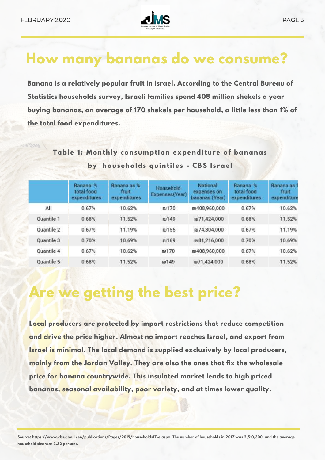

## **How many bananas do we consume?**

**Banana is a relatively popular fruit in Israel. According to the Central Bureau of Statistics households survey, Israeli families spend 408 million shekels a year buying bananas, an average of 170 shekels per household, a little less than 1% of the total food expenditures.**

**Table 1 : Monthly consumption expenditure of bananas by households quintiles - CBS I s rael**

|            | <b>Banana</b><br>total food<br>expenditures | Banana as %<br>fruit<br>expenditures | Household<br>Expenses(Year) | National<br>expenses on<br>bananas (Year) | <b>Banana</b><br>total food<br>expenditures | Banana as<br>fruit<br>expenditure |
|------------|---------------------------------------------|--------------------------------------|-----------------------------|-------------------------------------------|---------------------------------------------|-----------------------------------|
| All        | 0.67%                                       | 10.62%                               | <b>nu170</b>                | m9408,960,000                             | 0.67%                                       | 10.62%                            |
| Quantile 1 | 0.68%                                       | 11.52%                               | m149                        | m71,424,000                               | 0.68%                                       | 11.52%                            |
| Quantile 2 | 0.67%                                       | 11.19%                               | m155                        | ru74,304,000                              | 0.67%                                       | 11.19%                            |
| Quantile 3 | 0.70%                                       | 10.69%                               | <b><u>nu169</u></b>         | ru81,216,000                              | 0.70%                                       | 10.69%                            |
| Quantile 4 | 0.67%                                       | 10.62%                               | <b>RV170</b>                | ₪408,960,000                              | 0.67%                                       | 10.62%                            |
| Quantile 5 | 0.68%                                       | 11.52%                               | <b>PJ149</b>                | 图71,424,000                               | 0.68%                                       | 11.52%                            |

# **Are we getting the best price?**

**Local producers are protected by import restrictions that reduce competition and drive the price higher. Almost no import reaches Israel, and export from Israel is minimal. The local demand is supplied exclusively by local producers, mainly from the Jordan Valley. They are also the ones that fix the wholesale price for banana countrywide. This insulated market leads to high priced bananas, seasonal availability, poor variety, and at times lower quality.**

Source: https://www.cbs.gov.il/en/publications/Pages/2019/households17-e.aspx, The number of households in 2017 was 2,510,300, and the average **household size was 3.32 persons.**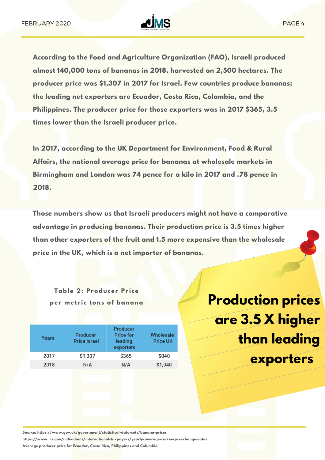

**According to the Food and Agriculture Organization (FAO), Israeli produced almost 140,000 tons of bananas in 2018, harvested on 2,500 hectares. The producer price was \$1,307 in 2017 for Israel. Few countries produce bananas; the leading net exporters are Ecuador, Costa Rica, Colombia, and the Philippines. The producer price for those exporters was in 2017 \$365, 3.5 times lower than the Israeli producer price.**

**In 2017, according to the UK Department for Environment, Food & Rural Affairs, the national average price for bananas at wholesale markets in Birmingham and London was 74 pence for a kilo in 2017 and .78 pence in 2018.**

**Those numbers show us that Israeli producers might not have a comparative advantage in producing bananas. Their production price is 3.5 times higher than other exporters of the fruit and 1.5 more expensive than the wholesale price in the UK, which is a net importer of bananas.**

**Table 2: Producer Pr i ce**

| Years | Producer<br><b>Price Israel</b> | Producer<br><b>Price for</b><br>leading<br>exporters | Wholesale<br><b>Price UK</b> |
|-------|---------------------------------|------------------------------------------------------|------------------------------|
| 2017  | \$1,307                         | \$365                                                | \$840                        |
| 2018  | N/A                             | N/A                                                  | \$1,040                      |
|       |                                 |                                                      |                              |

per metric tons of banana<br> **Production prices are 3.5 X higher than leading exporters**

**Source: https://www.gov.uk/government/statistical-data-sets/banana-prices**

**https://www.irs.gov/individuals/international-taxpayers/yearly-average-currency-exchange-rates**

**Average producer price for Ecuador, Costa Rica, Philippines and Columbia**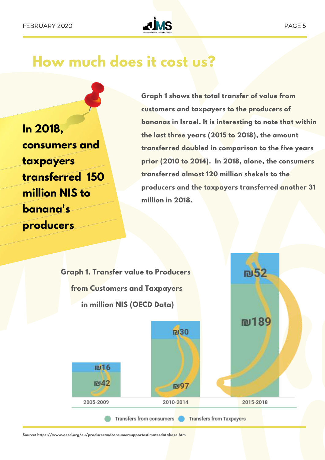

#### **How much does it cost us?**

**In 2018, consumers and taxpayers transferred 150 million NIS to banana's producers**

**Graph 1 shows the total transfer of value from customers and taxpayers to the producers of bananas in Israel. It is interesting to note that within the last three years (2015 to 2018), the amount transferred doubled in comparison to the five years prior (2010 to 2014). In 2018, alone, the consumers transferred almost 120 million shekels to the producers and the taxpayers transferred another 31 million in 2018.**



**Source: https://www.oecd.org/eu/producerandconsumersupportestimatesdatabase.htm**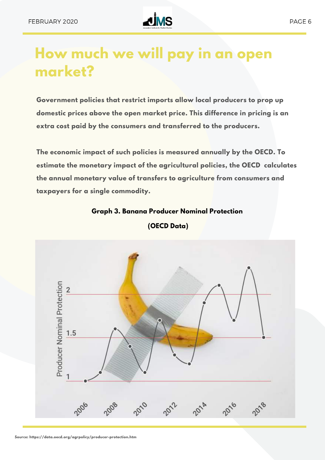

## **How much we will pay in an open market?**

**Government policies that restrict imports allow local producers to prop up domestic prices above the open market price. This difference in pricing is an extra cost paid by the consumers and transferred to the producers.**

**The economic impact of such policies is measured annually by the OECD. To estimate the monetary impact of the agricultural policies, the OECD calculates the annual monetary value of transfers to agriculture from consumers and taxpayers for a single commodity.**